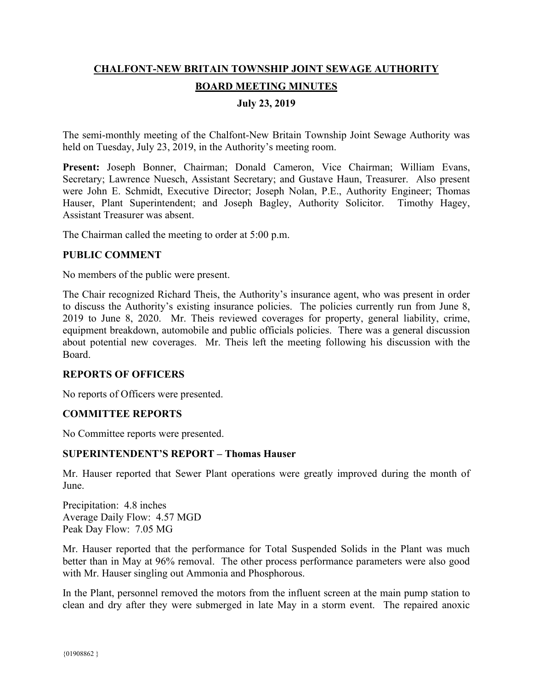# **CHALFONT-NEW BRITAIN TOWNSHIP JOINT SEWAGE AUTHORITY BOARD MEETING MINUTES**

## **July 23, 2019**

The semi-monthly meeting of the Chalfont-New Britain Township Joint Sewage Authority was held on Tuesday, July 23, 2019, in the Authority's meeting room.

**Present:** Joseph Bonner, Chairman; Donald Cameron, Vice Chairman; William Evans, Secretary; Lawrence Nuesch, Assistant Secretary; and Gustave Haun, Treasurer. Also present were John E. Schmidt, Executive Director; Joseph Nolan, P.E., Authority Engineer; Thomas Hauser, Plant Superintendent; and Joseph Bagley, Authority Solicitor. Timothy Hagey, Assistant Treasurer was absent.

The Chairman called the meeting to order at 5:00 p.m.

#### **PUBLIC COMMENT**

No members of the public were present.

The Chair recognized Richard Theis, the Authority's insurance agent, who was present in order to discuss the Authority's existing insurance policies. The policies currently run from June 8, 2019 to June 8, 2020. Mr. Theis reviewed coverages for property, general liability, crime, equipment breakdown, automobile and public officials policies. There was a general discussion about potential new coverages. Mr. Theis left the meeting following his discussion with the Board.

#### **REPORTS OF OFFICERS**

No reports of Officers were presented.

#### **COMMITTEE REPORTS**

No Committee reports were presented.

#### **SUPERINTENDENT'S REPORT – Thomas Hauser**

Mr. Hauser reported that Sewer Plant operations were greatly improved during the month of June.

Precipitation: 4.8 inches Average Daily Flow: 4.57 MGD Peak Day Flow: 7.05 MG

Mr. Hauser reported that the performance for Total Suspended Solids in the Plant was much better than in May at 96% removal. The other process performance parameters were also good with Mr. Hauser singling out Ammonia and Phosphorous.

In the Plant, personnel removed the motors from the influent screen at the main pump station to clean and dry after they were submerged in late May in a storm event. The repaired anoxic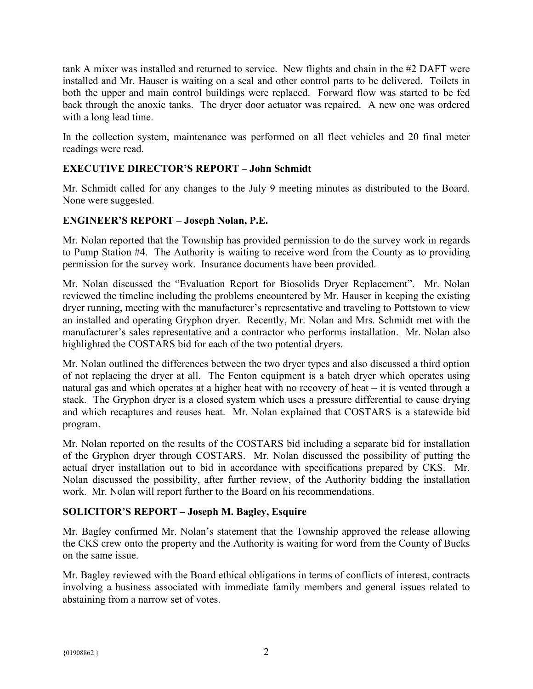tank A mixer was installed and returned to service. New flights and chain in the #2 DAFT were installed and Mr. Hauser is waiting on a seal and other control parts to be delivered. Toilets in both the upper and main control buildings were replaced. Forward flow was started to be fed back through the anoxic tanks. The dryer door actuator was repaired. A new one was ordered with a long lead time.

In the collection system, maintenance was performed on all fleet vehicles and 20 final meter readings were read.

# **EXECUTIVE DIRECTOR'S REPORT – John Schmidt**

Mr. Schmidt called for any changes to the July 9 meeting minutes as distributed to the Board. None were suggested.

## **ENGINEER'S REPORT – Joseph Nolan, P.E.**

Mr. Nolan reported that the Township has provided permission to do the survey work in regards to Pump Station #4. The Authority is waiting to receive word from the County as to providing permission for the survey work. Insurance documents have been provided.

Mr. Nolan discussed the "Evaluation Report for Biosolids Dryer Replacement". Mr. Nolan reviewed the timeline including the problems encountered by Mr. Hauser in keeping the existing dryer running, meeting with the manufacturer's representative and traveling to Pottstown to view an installed and operating Gryphon dryer. Recently, Mr. Nolan and Mrs. Schmidt met with the manufacturer's sales representative and a contractor who performs installation. Mr. Nolan also highlighted the COSTARS bid for each of the two potential dryers.

Mr. Nolan outlined the differences between the two dryer types and also discussed a third option of not replacing the dryer at all. The Fenton equipment is a batch dryer which operates using natural gas and which operates at a higher heat with no recovery of heat – it is vented through a stack. The Gryphon dryer is a closed system which uses a pressure differential to cause drying and which recaptures and reuses heat. Mr. Nolan explained that COSTARS is a statewide bid program.

Mr. Nolan reported on the results of the COSTARS bid including a separate bid for installation of the Gryphon dryer through COSTARS. Mr. Nolan discussed the possibility of putting the actual dryer installation out to bid in accordance with specifications prepared by CKS. Mr. Nolan discussed the possibility, after further review, of the Authority bidding the installation work. Mr. Nolan will report further to the Board on his recommendations.

## **SOLICITOR'S REPORT – Joseph M. Bagley, Esquire**

Mr. Bagley confirmed Mr. Nolan's statement that the Township approved the release allowing the CKS crew onto the property and the Authority is waiting for word from the County of Bucks on the same issue.

Mr. Bagley reviewed with the Board ethical obligations in terms of conflicts of interest, contracts involving a business associated with immediate family members and general issues related to abstaining from a narrow set of votes.